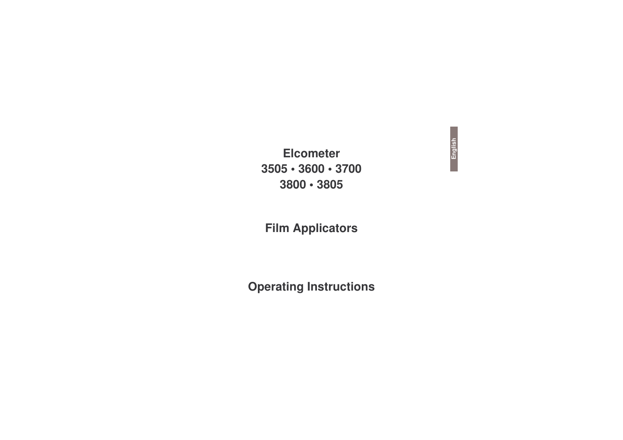**Elcometer**  $3505 \cdot 3600 \cdot 3700$  $3800 \cdot 3805$ 

## **Film Applicators**

# **Operating Instructions**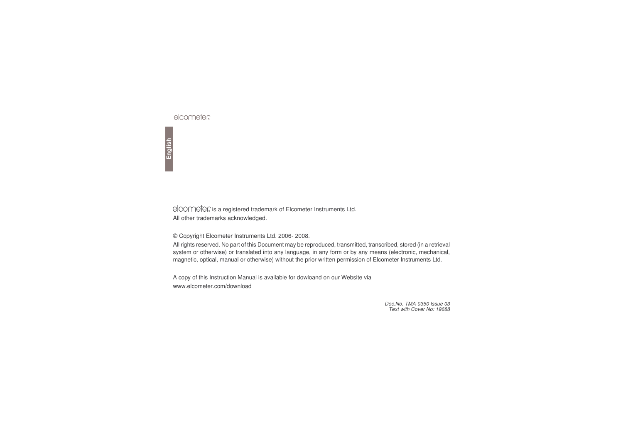elcometec

is a registered trademark of Elcometer Instruments Ltd. All other trademarks acknowledged.

© Copyright Elcometer Instruments Ltd. 2006- 2008.

All rights reserved. No part of this Document may be reproduced, transmitted, transcribed, stored (in <sup>a</sup> retrieval system or otherwise) or translated into any language, in any form or by any means (electronic, mechanical, magnetic, optical, manual or otherwise) without the prior written permission of Elcometer Instruments Ltd.

A copy of this Instruction Manual is available for dowloand on our Website via www.elcometer.com/download

> *Doc.No. TMA-0350 Issue 03 Text with Cover No: 19688*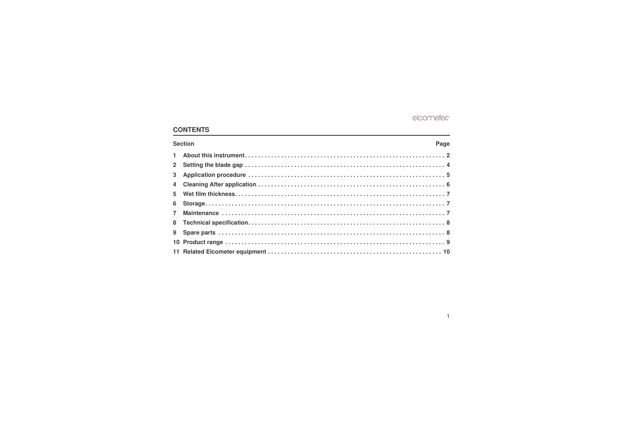### **CONTENTS**

| <b>Section</b> |  |  |  |  |  |  |  |  |
|----------------|--|--|--|--|--|--|--|--|
|                |  |  |  |  |  |  |  |  |
|                |  |  |  |  |  |  |  |  |
|                |  |  |  |  |  |  |  |  |
|                |  |  |  |  |  |  |  |  |
|                |  |  |  |  |  |  |  |  |
|                |  |  |  |  |  |  |  |  |
|                |  |  |  |  |  |  |  |  |
|                |  |  |  |  |  |  |  |  |
|                |  |  |  |  |  |  |  |  |
|                |  |  |  |  |  |  |  |  |
|                |  |  |  |  |  |  |  |  |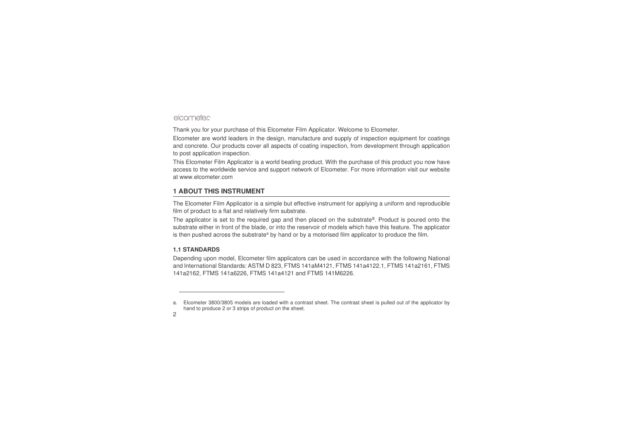Thank you for your purchase of this Elcometer Film Applicator. Welcome to Elcometer.

Elcometer are world leaders in the design, manufacture and supply of inspection equipment for coatings and concrete. Our products cover all aspects of coating inspection, from development through application to post application inspection.

This Elcometer Film Applicator is <sup>a</sup> world beating product. With the purchase of this product you now have access to the worldwide service and support network of Elcometer. For more information visit our website at [www.elcometer.com](http://www.elcometer.com)

### <span id="page-3-0"></span>**1 ABOUT THIS INSTRUMENT**

The Elcometer Film Applicator is <sup>a</sup> simple but effective instrument for applying <sup>a</sup> uniform and reproducible film of product to <sup>a</sup> flat and relatively firm substrate.

The applicator is set to the required gap and then placed on the substrate<sup>a</sup>. Product is poured onto the substrate either in front of the blade, or into the reservoir of models which have this feature. The applicator is then pushed across the substrate<sup>a</sup> by hand or by a motorised film applicator to produce the film.

### **1.1 STANDARDS**

Depending upon model, Elcometer film applicators can be used in accordance with the following National and International Standards: ASTM D 823, FTMS 141aM4121, FTMS 141a4122.1, FTMS 141a2161, FTMS 141a2162, FTMS 141a6226, FTMS 141a4121 and FTMS 141M6226.

a. Elcometer 3800/3805 models are loaded with <sup>a</sup> contrast sheet. The contrast sheet is pulled out of the applicator by hand to produce 2 or 3 strips of product on the sheet.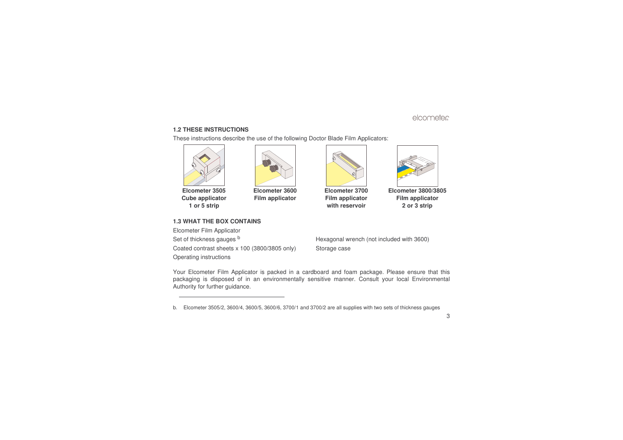### **1.2 THESE INSTRUCTIONS**

These instructions describe the use of the following Doctor Blade Film Applicators:



**Elcometer 3505Cube applicator 1 or 5 strip**



**Elcometer 3600Film applicator**



**Elcometer 3700Film applicator with reservoir**



**Elcometer 3800/3805Film applicator 2 or 3 strip**

### **1.3 WHAT THE BOX CONTAINS**

Elcometer Film Applicator Set of thicknessCoated contrast sheets <sup>x</sup> 100 (3800/3805 only) Storage case Operating instructions

Hexagonal wrench (not included with 3600)

Your Elcometer Film Applicator is packed in <sup>a</sup> cardboard and foam package. Please ensure that this packaging is disposed of in an environmentally sensitive manner. Consult your local Environmental Authority for further guidance.

b.Elcometer 3505/2, 3600/4, 3600/5, 3600/6, 3700/1 and 3700/2 are all supplies with two sets of thickness gauges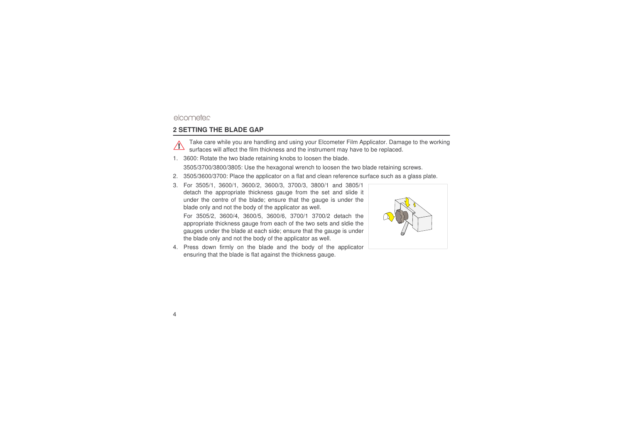### <span id="page-5-0"></span>**2 SETTING THE BLADE GAP**



Take care while you are handling and using your Elcometer Film Applicator. Damage to the working surfaces will affect the film thickness and the instrument may have to be replaced.

- 1. 3600: Rotate the two blade retaining knobs to loosen the blade. 3505/3700/3800/3805: Use the hexagonal wrench to loosen the two blade retaining screws.
- 2.3505/3600/3700: Place the applicator on <sup>a</sup> flat and clean reference surface such as <sup>a</sup> glass plate.
- 3. For 3505/1, 3600/1, 3600/2, 3600/3, 3700/3, 3800/1 and 3805/1 detach the appropriate thickness gauge from the set and slide it under the centre of the blade; ensure that the gauge is under the blade only and not the body of the applicator as well.

For 3505/2, 3600/4, 3600/5, 3600/6, 3700/1 3700/2 detach the appropriate thickness gauge from each of the two sets and sldie the gauges under the blade at each side; ensure that the gauge is under the blade only and not the body of the applicator as well.

4. Press down firmly on the blade and the body of the applicator ensuring that the blade is flat against the thickness gauge.

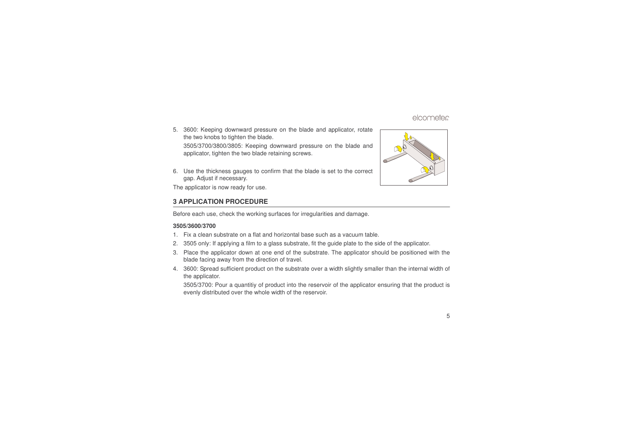- 5. 3600: Keeping downward pressure on the blade and applicator, rotate the two knobs to tighten the blade. 3505/3700/3800/3805: Keeping downward pressure on the blade and applicator, tighten the two blade retaining screws.
- 6. Use the thickness gauges to confirm that the blade is set to the correct gap. Adjust if necessary.

The applicator is now ready for use.

### <span id="page-6-0"></span>**3 APPLICATION PROCEDURE**

Before each use, check the working surfaces for irregularities and damage.

#### **3505/3600/3700**

- 1.Fix a clean substrate on <sup>a</sup> flat and horizontal base such as <sup>a</sup> vacuum table.
- 2.3505 only: If applying <sup>a</sup> film to <sup>a</sup> glass substrate, fit the guide plate to the side of the applicator.
- 3. Place the applicator down at one end of the substrate. The applicator should be positioned with the blade facing away from the direction of travel.
- 4. 3600: Spread sufficient product on the substrate over <sup>a</sup> width slightly smaller than the internal width of the applicator.

3505/3700: Pour a quantitiy of product into the reservoir of the applicator ensuring that the product is evenly distributed over the whole width of the reservoir.

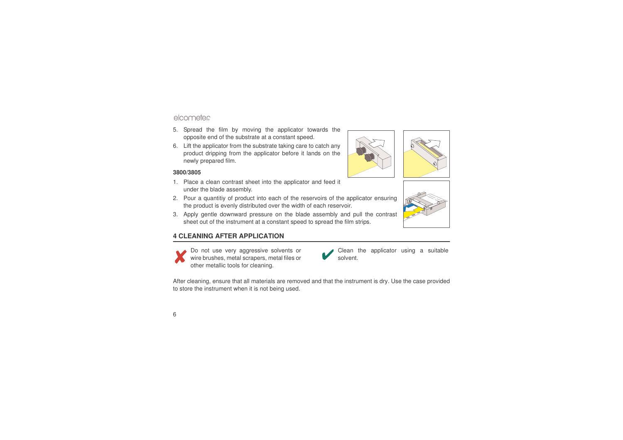- 5. Spread the film by moving the applicator towards the opposite end of the substrate at <sup>a</sup> constant speed.
- 6. Lift the applicator from the substrate taking care to catch any product dripping from the applicator before it lands on the newly prepared film.

#### **3800/3805**

- 1. Place <sup>a</sup> clean contrast sheet into the applicator and feed it under the blade assembly.
- 2. Pour a quantitiy of product into each of the reservoirs of the applicator ensuring the product is evenly distributed over the width of each reservoir.
- 3. Apply gentle downward pressure on the blade assembly and pull the contrast sheet out of the instrument at <sup>a</sup> constant speed to spread the film strips.

### <span id="page-7-0"></span>**4 CLEANING AFTER APPLICATION**

other metallic tools for cleaning.

Do not use very aggressive solvents or wire brushes, metal scrapers, metal files or

After cleaning, ensure that all materials are removed and that the instrument is dry. Use the case provided to store the instrument when it is not being used.

solvent.





Clean the applicator using <sup>a</sup> suitable

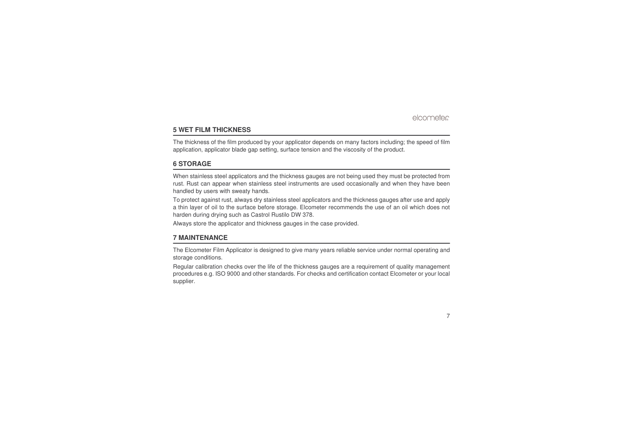## <span id="page-8-0"></span>**5 WET FILM THICKNESS**

The thickness of the film produced by your applicator depends on many factors including; the speed of film application, applicator blade gap setting, surface tension and the viscosity of the product.

### <span id="page-8-1"></span>**6 STORAGE**

When stainless steel applicators and the thickness gauges are not being used they must be protected from rust. Rust can appear when stainless steel instruments are used occasionally and when they have been handled by users with sweaty hands.

To protect against rust, always dry stainless steel applicators and the thickness gauges after use and apply a thin layer of oil to the surface before storage. Elcometer recommends the use of an oil which does not harden during drying such as Castrol Rustilo DW 378.

Always store the applicator and thickness gauges in the case provided.

### <span id="page-8-2"></span>**7 MAINTENANCE**

The Elcometer Film Applicator is designed to give many years reliable service under normal operating and storage conditions.

Regular calibration checks over the life of the thickness gauges are <sup>a</sup> requirement of quality management procedures e.g. ISO 9000 and other standards. For checks and certification contact Elcometer or your local supplier.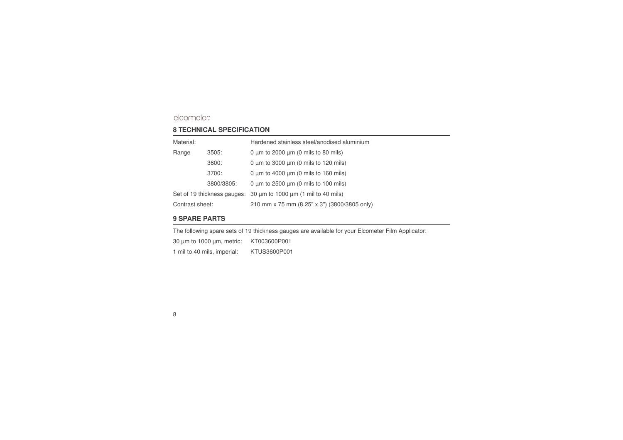### <span id="page-9-0"></span>**8 TECHNICAL SPECIFICATION**

| Material:       |            | Hardened stainless steel/anodised aluminium                     |  |  |  |
|-----------------|------------|-----------------------------------------------------------------|--|--|--|
| Range           | 3505:      | 0 $\mu$ m to 2000 $\mu$ m (0 mils to 80 mils)                   |  |  |  |
|                 | 3600:      | 0 $\mu$ m to 3000 $\mu$ m (0 mils to 120 mils)                  |  |  |  |
|                 | 3700:      | 0 $\mu$ m to 4000 $\mu$ m (0 mils to 160 mils)                  |  |  |  |
|                 | 3800/3805: | 0 $\mu$ m to 2500 $\mu$ m (0 mils to 100 mils)                  |  |  |  |
|                 |            | Set of 19 thickness gauges: 30 um to 1000 um (1 mil to 40 mils) |  |  |  |
| Contrast sheet: |            | 210 mm x 75 mm (8.25" x 3") (3800/3805 only)                    |  |  |  |

### <span id="page-9-1"></span>**9 SPARE PARTS**

The following spare sets of 19 thickness gauges are available for your Elcometer Film Applicator: 30 µm to 1000 µm, metric: KT003600P001 1 mil to 40 mils, imperial: KTUS3600P001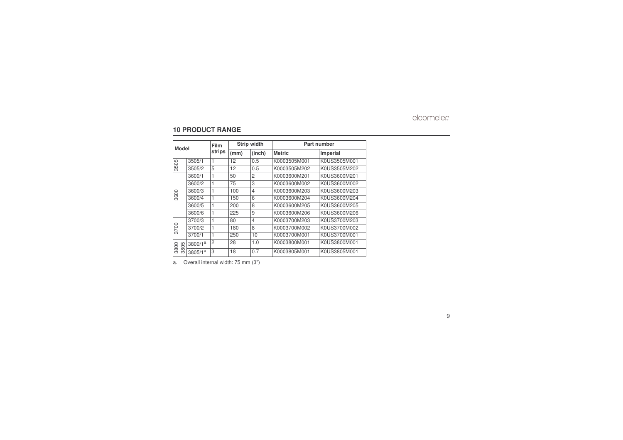### <span id="page-10-0"></span>**10 PRODUCT RANGE**

| <b>Model</b>   |                     | Film           | <b>Strip width</b> |                         | Part number   |              |
|----------------|---------------------|----------------|--------------------|-------------------------|---------------|--------------|
|                |                     | strips         | (mm)               | (inch)                  | <b>Metric</b> | Imperial     |
| 3505           | 3505/1              | 1              | 12                 | 0.5                     | K0003505M001  | K0US3505M001 |
|                | 3505/2              | 5              | 12                 | 0.5                     | K0003505M202  | K0US3505M202 |
|                | 3600/1              | 1              | 50                 | 2                       | K0003600M201  | K0US3600M201 |
|                | 3600/2              | 1              | 75                 | 3                       | K0003600M002  | K0US3600M002 |
| 3600           | 3600/3              | 1              | 100                | $\overline{\mathbf{4}}$ | K0003600M203  | K0US3600M203 |
|                | 3600/4              | 1              | 150                | 6                       | K0003600M204  | K0US3600M204 |
|                | 3600/5              | 1              | 200                | 8                       | K0003600M205  | K0US3600M205 |
|                | 3600/6              | $\mathbf{1}$   | 225                | 9                       | K0003600M206  | K0US3600M206 |
|                | 3700/3              | 1              | 80                 | $\overline{4}$          | K0003700M203  | K0US3700M203 |
| 3700           | 3700/2              | 1              | 180                | 8                       | K0003700M002  | K0US3700M002 |
|                | 3700/1              | 1              | 250                | 10                      | K0003700M001  | K0US3700M001 |
| 8<br>3800      | 3800/1 <sup>a</sup> | $\overline{c}$ | 28                 | 1.0                     | K0003800M001  | K0US3800M001 |
| $\overline{8}$ | 3805/1 <sup>a</sup> | 3              | 18                 | 0.7                     | K0003805M001  | K0US3805M001 |

a.Overall internal width: 75 mm (3")